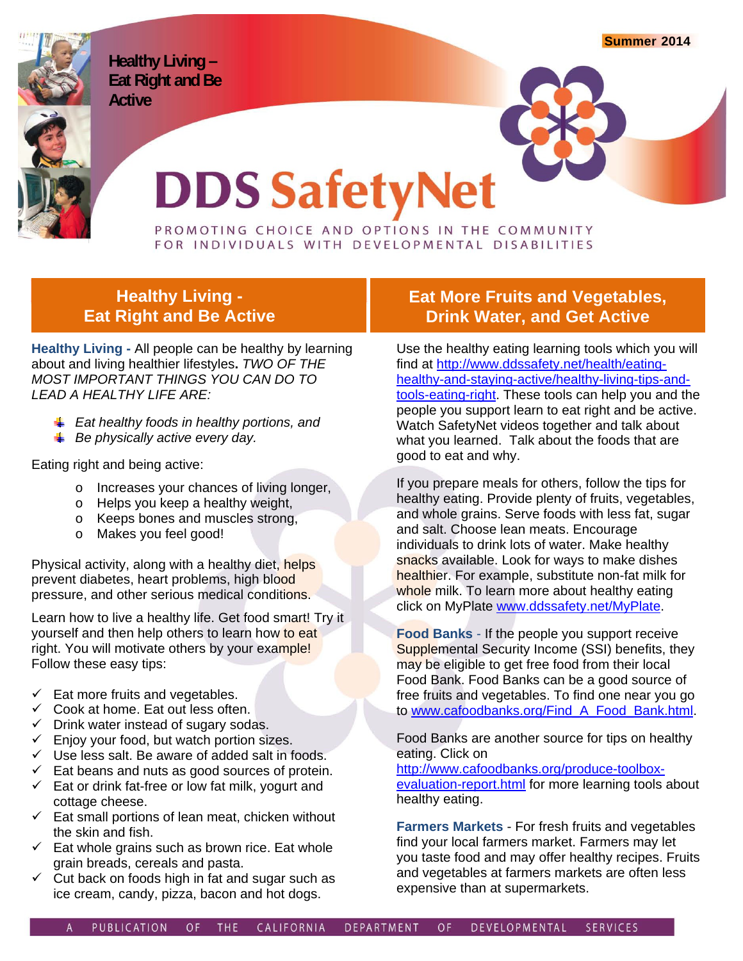**Summer 2014**

**Healthy Living – Eat Right and Be Active** 

# **DDS SafetyNet**

PROMOTING CHOICE AND OPTIONS IN THE COMMUNITY<br>FOR INDIVIDUALS WITH DEVELOPMENTAL DISABILITIES

#### **Healthy Living - Eat Right and Be Active**

**Healthy Living -** All people can be healthy by learning about and living healthier lifestyles**.** *TWO OF THE MOST IMPORTANT THINGS YOU CAN DO TO LEAD A HEALTHY LIFE ARE:* 

- *Eat healthy foods in healthy portions, and*
- **Be physically active every day.**

Eating right and being active:

- o Increases your chances of living longer,
- o Helps you keep a healthy weight,
- o Keeps bones and muscles strong,
- o Makes you feel good!

Physical activity, along with a healthy diet, helps prevent diabetes, heart problems, high blood pressure, and other serious medical conditions.

Learn how to live a healthy life. Get food smart! Try it yourself and then help others to learn how to eat right. You will motivate others by your example! Follow these easy tips:

- $\checkmark$  Eat more fruits and vegetables.
- $\checkmark$  Cook at home. Eat out less often.
- $\checkmark$  Drink water instead of sugary sodas.
- $\checkmark$  Enjoy your food, but watch portion sizes.
- $\checkmark$  Use less salt. Be aware of added salt in foods.
- $\checkmark$  Eat beans and nuts as good sources of protein.  $\checkmark$  Eat or drink fat-free or low fat milk, yogurt and
- cottage cheese.
- $\checkmark$  Eat small portions of lean meat, chicken without the skin and fish.
- $\checkmark$  Eat whole grains such as brown rice. Eat whole grain breads, cereals and pasta.
- $\checkmark$  Cut back on foods high in fat and sugar such as ice cream, candy, pizza, bacon and hot dogs.

### **Eat More Fruits and Vegetables, Drink Water, and Get Active**

Use the healthy eating learning tools which you will find at http://www.ddssafety.net/health/eatinghealthy-and-staying-active/healthy-living-tips-andtools-eating-right. These tools can help you and the people you support learn to eat right and be active. Watch SafetyNet videos together and talk about what you learned. Talk about the foods that are good to eat and why.

If you prepare meals for others, follow the tips for healthy eating. Provide plenty of fruits, vegetables, and whole grains. Serve foods with less fat, sugar and salt. Choose lean meats. Encourage individuals to drink lots of water. Make healthy snacks available. Look for ways to make dishes healthier. For example, substitute non-fat milk for whole milk. To learn more about healthy eating click on MyPlate www.ddssafety.net/MyPlate.

**Food Banks** - If the people you support receive Supplemental Security Income (SSI) benefits, they may be eligible to get free food from their local Food Bank. Food Banks can be a good source of free fruits and vegetables. To find one near you go to www.cafoodbanks.org/Find\_A\_Food\_Bank.html.

Food Banks are another source for tips on healthy eating. Click on

http://www.cafoodbanks.org/produce-toolboxevaluation-report.html for more learning tools about healthy eating.

**Farmers Markets** - For fresh fruits and vegetables find your local farmers market. Farmers may let you taste food and may offer healthy recipes. Fruits and vegetables at farmers markets are often less expensive than at supermarkets.